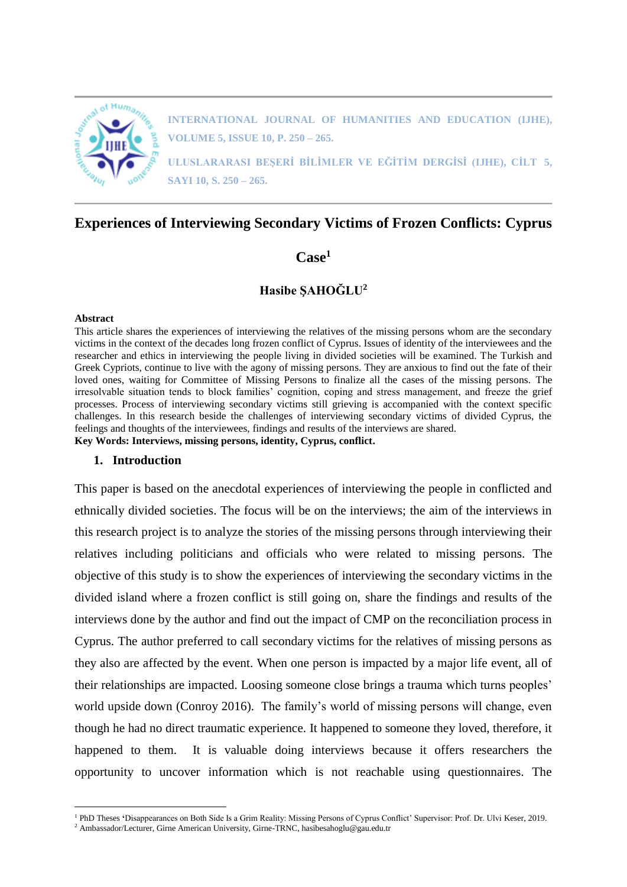

**INTERNATIONAL JOURNAL OF HUMANITIES AND EDUCATION (IJHE), VOLUME 5, ISSUE 10, P. 250 – 265.**

**ULUSLARARASI BEŞERİ BİLİMLER VE EĞİTİM DERGİSİ (IJHE), CİLT 5, SAYI 10, S. 250 – 265.**

# **Experiences of Interviewing Secondary Victims of Frozen Conflicts: Cyprus**

# **Case<sup>1</sup>**

# **Hasibe ŞAHOĞLU<sup>2</sup>**

#### **Abstract**

 $\overline{a}$ 

This article shares the experiences of interviewing the relatives of the missing persons whom are the secondary victims in the context of the decades long frozen conflict of Cyprus. Issues of identity of the interviewees and the researcher and ethics in interviewing the people living in divided societies will be examined. The Turkish and Greek Cypriots, continue to live with the agony of missing persons. They are anxious to find out the fate of their loved ones, waiting for Committee of Missing Persons to finalize all the cases of the missing persons. The irresolvable situation tends to block families' cognition, coping and stress management, and freeze the grief processes. Process of interviewing secondary victims still grieving is accompanied with the context specific challenges. In this research beside the challenges of interviewing secondary victims of divided Cyprus, the feelings and thoughts of the interviewees, findings and results of the interviews are shared.

**Key Words: Interviews, missing persons, identity, Cyprus, conflict.** 

## **1. Introduction**

This paper is based on the anecdotal experiences of interviewing the people in conflicted and ethnically divided societies. The focus will be on the interviews; the aim of the interviews in this research project is to analyze the stories of the missing persons through interviewing their relatives including politicians and officials who were related to missing persons. The objective of this study is to show the experiences of interviewing the secondary victims in the divided island where a frozen conflict is still going on, share the findings and results of the interviews done by the author and find out the impact of CMP on the reconciliation process in Cyprus. The author preferred to call secondary victims for the relatives of missing persons as they also are affected by the event. When one person is impacted by a major life event, all of their relationships are impacted. Loosing someone close brings a trauma which turns peoples' world upside down (Conroy 2016). The family's world of missing persons will change, even though he had no direct traumatic experience. It happened to someone they loved, therefore, it happened to them. It is valuable doing interviews because it offers researchers the opportunity to uncover information which is not reachable using questionnaires. The

<sup>&</sup>lt;sup>1</sup> PhD Theses 'Disappearances on Both Side Is a Grim Reality: Missing Persons of Cyprus Conflict' Supervisor: Prof. Dr. Ulvi Keser, 2019. <sup>2</sup> Ambassador/Lecturer, Girne American University, Girne-TRNC, hasibesahoglu@gau.edu.tr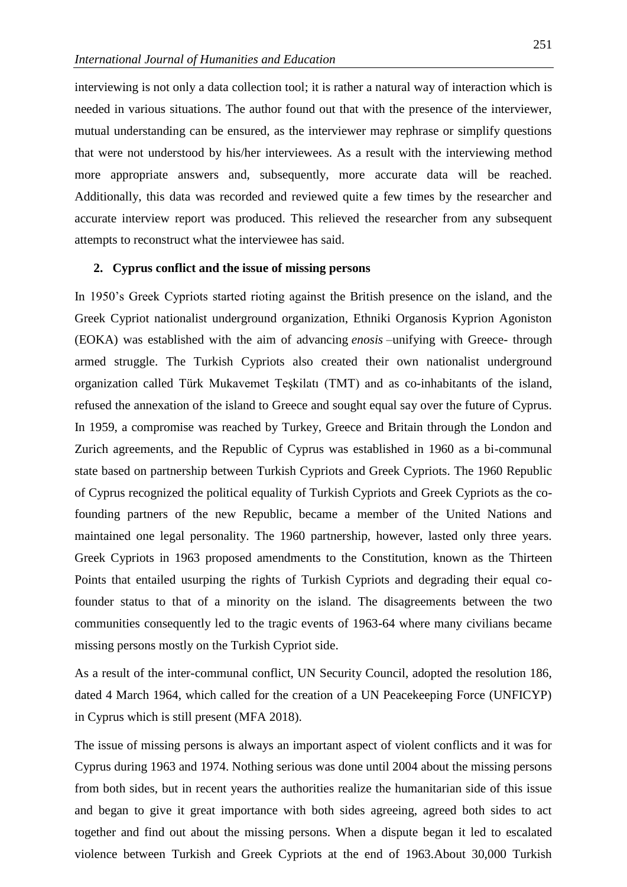interviewing is not only a data collection tool; it is rather a natural way of interaction which is needed in various situations. The author found out that with the presence of the interviewer, mutual understanding can be ensured, as the interviewer may rephrase or simplify questions that were not understood by his/her interviewees. As a result with the interviewing method more appropriate answers and, subsequently, more accurate data will be reached. Additionally, this data was recorded and reviewed quite a few times by the researcher and accurate interview report was produced. This relieved the researcher from any subsequent attempts to reconstruct what the interviewee has said.

#### **2. Cyprus conflict and the issue of missing persons**

In 1950's Greek Cypriots started rioting against the British presence on the island, and the Greek Cypriot nationalist underground organization, Ethniki Organosis Kyprion Agoniston (EOKA) was established with the aim of advancing *enosis* –unifying with Greece- through armed struggle. The Turkish Cypriots also created their own nationalist underground organization called Türk Mukavemet Teşkilatı (TMT) and as co-inhabitants of the island, refused the annexation of the island to Greece and sought equal say over the future of Cyprus. In 1959, a compromise was reached by Turkey, Greece and Britain through the London and Zurich agreements, and the Republic of Cyprus was established in 1960 as a bi-communal state based on partnership between Turkish Cypriots and Greek Cypriots. The 1960 Republic of Cyprus recognized the political equality of Turkish Cypriots and Greek Cypriots as the cofounding partners of the new Republic, became a member of the United Nations and maintained one legal personality. The 1960 partnership, however, lasted only three years. Greek Cypriots in 1963 proposed amendments to the Constitution, known as the Thirteen Points that entailed usurping the rights of Turkish Cypriots and degrading their equal cofounder status to that of a minority on the island. The disagreements between the two communities consequently led to the tragic events of 1963-64 where many civilians became missing persons mostly on the Turkish Cypriot side.

As a result of the inter-communal conflict, UN Security Council, adopted the resolution 186, dated 4 March 1964, which called for the creation of a UN Peacekeeping Force (UNFICYP) in Cyprus which is still present (MFA 2018).

The issue of missing persons is always an important aspect of violent conflicts and it was for Cyprus during 1963 and 1974. Nothing serious was done until 2004 about the missing persons from both sides, but in recent years the authorities realize the humanitarian side of this issue and began to give it great importance with both sides agreeing, agreed both sides to act together and find out about the missing persons. When a dispute began it led to escalated violence between Turkish and Greek Cypriots at the end of 1963.About 30,000 Turkish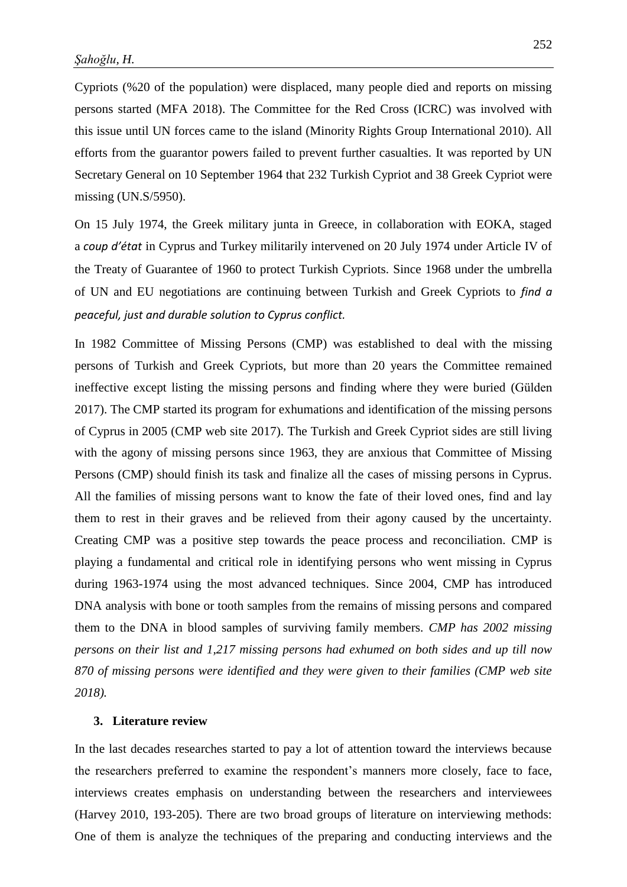Cypriots (%20 of the population) were displaced, many people died and reports on missing persons started (MFA 2018). The Committee for the Red Cross (ICRC) was involved with this issue until UN forces came to the island (Minority Rights Group International 2010). All efforts from the guarantor powers failed to prevent further casualties. It was reported by UN Secretary General on 10 September 1964 that 232 Turkish Cypriot and 38 Greek Cypriot were missing (UN.S/5950).

On 15 July 1974, the Greek military junta in Greece, in collaboration with EOKA, staged a *coup d'état* in Cyprus and Turkey militarily intervened on 20 July 1974 under Article IV of the Treaty of Guarantee of 1960 to protect Turkish Cypriots. Since 1968 under the umbrella of UN and EU negotiations are continuing between Turkish and Greek Cypriots to *find a peaceful, just and durable solution to Cyprus conflict.*

In 1982 Committee of Missing Persons (CMP) was established to deal with the missing persons of Turkish and Greek Cypriots, but more than 20 years the Committee remained ineffective except listing the missing persons and finding where they were buried (Gülden 2017). The CMP started its program for exhumations and identification of the missing persons of Cyprus in 2005 (CMP web site 2017). The Turkish and Greek Cypriot sides are still living with the agony of missing persons since 1963, they are anxious that Committee of Missing Persons (CMP) should finish its task and finalize all the cases of missing persons in Cyprus. All the families of missing persons want to know the fate of their loved ones, find and lay them to rest in their graves and be relieved from their agony caused by the uncertainty. Creating CMP was a positive step towards the peace process and reconciliation. CMP is playing a fundamental and critical role in identifying persons who went missing in Cyprus during 1963-1974 using the most advanced techniques. Since 2004, CMP has introduced DNA analysis with bone or tooth samples from the remains of missing persons and compared them to the DNA in blood samples of surviving family members. *CMP has 2002 missing persons on their list and 1,217 missing persons had exhumed on both sides and up till now 870 of missing persons were identified and they were given to their families (CMP web site 2018).*

#### **3. Literature review**

In the last decades researches started to pay a lot of attention toward the interviews because the researchers preferred to examine the respondent's manners more closely, face to face, interviews creates emphasis on understanding between the researchers and interviewees (Harvey 2010, 193-205). There are two broad groups of literature on interviewing methods: One of them is analyze the techniques of the preparing and conducting interviews and the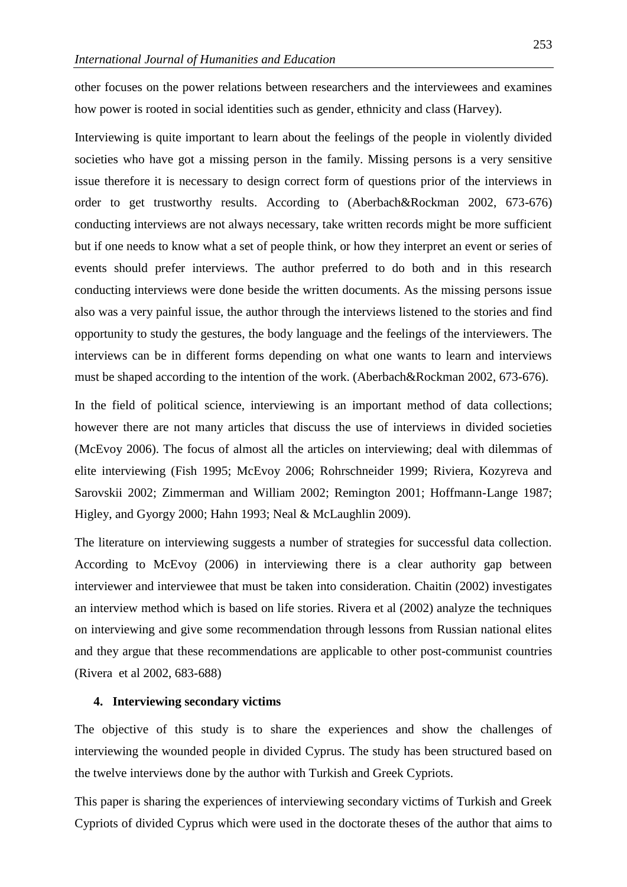other focuses on the power relations between researchers and the interviewees and examines how power is rooted in social identities such as gender, ethnicity and class (Harvey).

Interviewing is quite important to learn about the feelings of the people in violently divided societies who have got a missing person in the family. Missing persons is a very sensitive issue therefore it is necessary to design correct form of questions prior of the interviews in order to get trustworthy results. According to (Aberbach&Rockman 2002, 673-676) conducting interviews are not always necessary, take written records might be more sufficient but if one needs to know what a set of people think, or how they interpret an event or series of events should prefer interviews. The author preferred to do both and in this research conducting interviews were done beside the written documents. As the missing persons issue also was a very painful issue, the author through the interviews listened to the stories and find opportunity to study the gestures, the body language and the feelings of the interviewers. The interviews can be in different forms depending on what one wants to learn and interviews must be shaped according to the intention of the work. (Aberbach&Rockman 2002, 673-676).

In the field of political science, interviewing is an important method of data collections; however there are not many articles that discuss the use of interviews in divided societies (McEvoy 2006). The focus of almost all the articles on interviewing; deal with dilemmas of elite interviewing (Fish 1995; McEvoy 2006; Rohrschneider 1999; Riviera, Kozyreva and Sarovskii 2002; Zimmerman and William 2002; Remington 2001; Hoffmann-Lange 1987; Higley, and Gyorgy 2000; Hahn 1993; Neal & McLaughlin 2009).

The literature on interviewing suggests a number of strategies for successful data collection. According to McEvoy (2006) in interviewing there is a clear authority gap between interviewer and interviewee that must be taken into consideration. Chaitin (2002) investigates an interview method which is based on life stories. Rivera et al (2002) analyze the techniques on interviewing and give some recommendation through lessons from Russian national elites and they argue that these recommendations are applicable to other post-communist countries (Rivera et al 2002, 683-688)

## **4. Interviewing secondary victims**

The objective of this study is to share the experiences and show the challenges of interviewing the wounded people in divided Cyprus. The study has been structured based on the twelve interviews done by the author with Turkish and Greek Cypriots.

This paper is sharing the experiences of interviewing secondary victims of Turkish and Greek Cypriots of divided Cyprus which were used in the doctorate theses of the author that aims to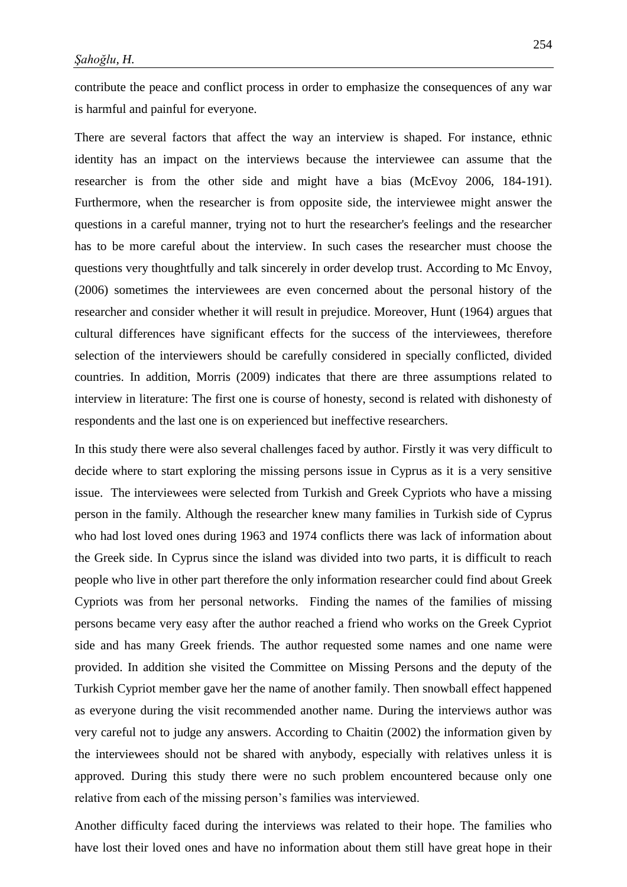contribute the peace and conflict process in order to emphasize the consequences of any war is harmful and painful for everyone.

There are several factors that affect the way an interview is shaped. For instance, ethnic identity has an impact on the interviews because the interviewee can assume that the researcher is from the other side and might have a bias (McEvoy 2006, 184-191). Furthermore, when the researcher is from opposite side, the interviewee might answer the questions in a careful manner, trying not to hurt the researcher's feelings and the researcher has to be more careful about the interview. In such cases the researcher must choose the questions very thoughtfully and talk sincerely in order develop trust. According to Mc Envoy, (2006) sometimes the interviewees are even concerned about the personal history of the researcher and consider whether it will result in prejudice. Moreover, Hunt (1964) argues that cultural differences have significant effects for the success of the interviewees, therefore selection of the interviewers should be carefully considered in specially conflicted, divided countries. In addition, Morris (2009) indicates that there are three assumptions related to interview in literature: The first one is course of honesty, second is related with dishonesty of respondents and the last one is on experienced but ineffective researchers.

In this study there were also several challenges faced by author. Firstly it was very difficult to decide where to start exploring the missing persons issue in Cyprus as it is a very sensitive issue. The interviewees were selected from Turkish and Greek Cypriots who have a missing person in the family. Although the researcher knew many families in Turkish side of Cyprus who had lost loved ones during 1963 and 1974 conflicts there was lack of information about the Greek side. In Cyprus since the island was divided into two parts, it is difficult to reach people who live in other part therefore the only information researcher could find about Greek Cypriots was from her personal networks. Finding the names of the families of missing persons became very easy after the author reached a friend who works on the Greek Cypriot side and has many Greek friends. The author requested some names and one name were provided. In addition she visited the Committee on Missing Persons and the deputy of the Turkish Cypriot member gave her the name of another family. Then snowball effect happened as everyone during the visit recommended another name. During the interviews author was very careful not to judge any answers. According to Chaitin (2002) the information given by the interviewees should not be shared with anybody, especially with relatives unless it is approved. During this study there were no such problem encountered because only one relative from each of the missing person's families was interviewed.

Another difficulty faced during the interviews was related to their hope. The families who have lost their loved ones and have no information about them still have great hope in their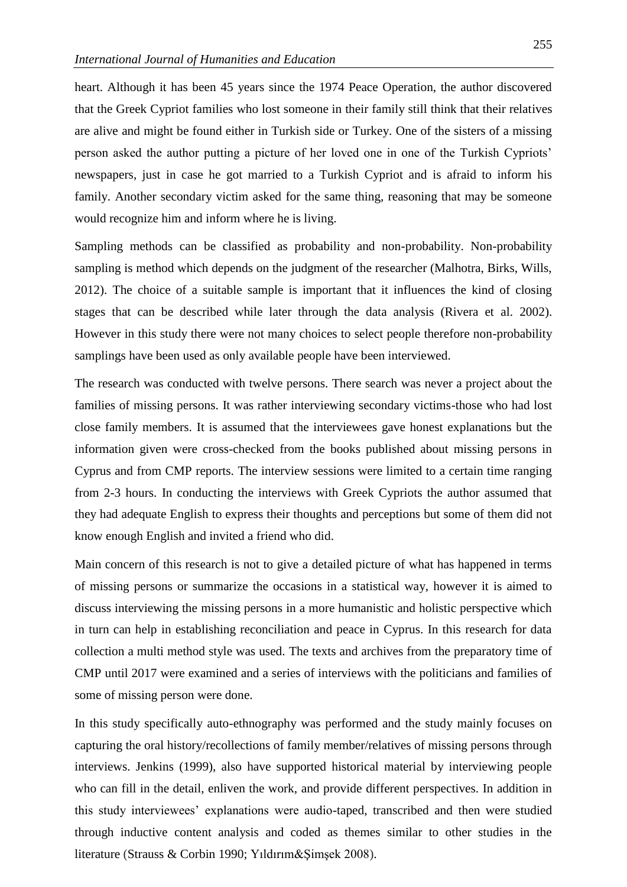heart. Although it has been 45 years since the 1974 Peace Operation, the author discovered that the Greek Cypriot families who lost someone in their family still think that their relatives are alive and might be found either in Turkish side or Turkey. One of the sisters of a missing person asked the author putting a picture of her loved one in one of the Turkish Cypriots' newspapers, just in case he got married to a Turkish Cypriot and is afraid to inform his family. Another secondary victim asked for the same thing, reasoning that may be someone would recognize him and inform where he is living.

Sampling methods can be classified as probability and non-probability. Non-probability sampling is method which depends on the judgment of the researcher (Malhotra, Birks, Wills, 2012). The choice of a suitable sample is important that it influences the kind of closing stages that can be described while later through the data analysis (Rivera et al. 2002). However in this study there were not many choices to select people therefore non-probability samplings have been used as only available people have been interviewed.

The research was conducted with twelve persons. There search was never a project about the families of missing persons. It was rather interviewing secondary victims-those who had lost close family members. It is assumed that the interviewees gave honest explanations but the information given were cross-checked from the books published about missing persons in Cyprus and from CMP reports. The interview sessions were limited to a certain time ranging from 2-3 hours. In conducting the interviews with Greek Cypriots the author assumed that they had adequate English to express their thoughts and perceptions but some of them did not know enough English and invited a friend who did.

Main concern of this research is not to give a detailed picture of what has happened in terms of missing persons or summarize the occasions in a statistical way, however it is aimed to discuss interviewing the missing persons in a more humanistic and holistic perspective which in turn can help in establishing reconciliation and peace in Cyprus. In this research for data collection a multi method style was used. The texts and archives from the preparatory time of CMP until 2017 were examined and a series of interviews with the politicians and families of some of missing person were done.

In this study specifically auto-ethnography was performed and the study mainly focuses on capturing the oral history/recollections of family member/relatives of missing persons through interviews. Jenkins (1999), also have supported historical material by interviewing people who can fill in the detail, enliven the work, and provide different perspectives. In addition in this study interviewees' explanations were audio-taped, transcribed and then were studied through inductive content analysis and coded as themes similar to other studies in the literature (Strauss & Corbin 1990; Yıldırım&Şimşek 2008).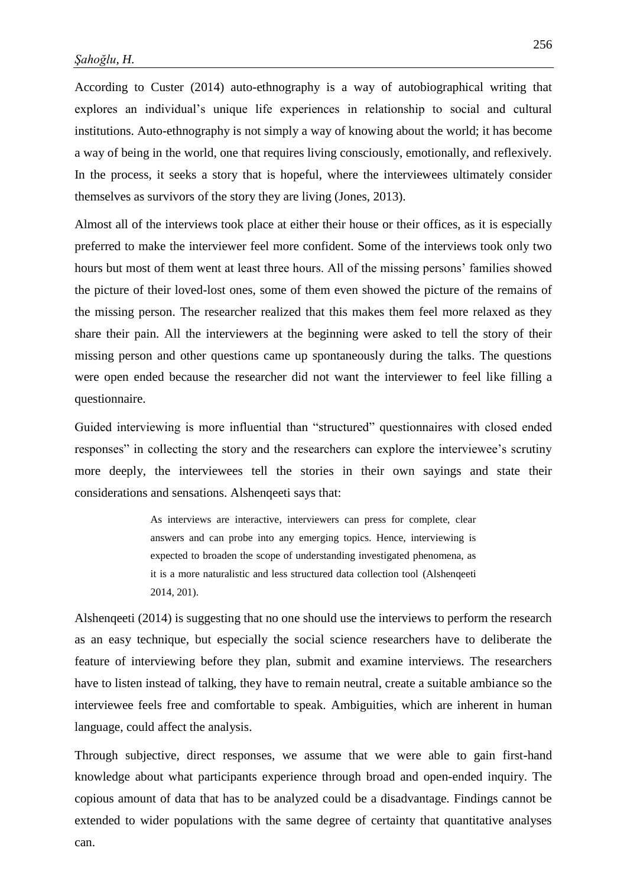According to Custer (2014) auto-ethnography is a way of autobiographical writing that explores an individual's unique life experiences in relationship to social and cultural institutions. Auto-ethnography is not simply a way of knowing about the world; it has become a way of being in the world, one that requires living consciously, emotionally, and reflexively. In the process, it seeks a story that is hopeful, where the interviewees ultimately consider themselves as survivors of the story they are living (Jones, 2013).

Almost all of the interviews took place at either their house or their offices, as it is especially preferred to make the interviewer feel more confident. Some of the interviews took only two hours but most of them went at least three hours. All of the missing persons' families showed the picture of their loved-lost ones, some of them even showed the picture of the remains of the missing person. The researcher realized that this makes them feel more relaxed as they share their pain. All the interviewers at the beginning were asked to tell the story of their missing person and other questions came up spontaneously during the talks. The questions were open ended because the researcher did not want the interviewer to feel like filling a questionnaire.

Guided interviewing is more influential than "structured" questionnaires with closed ended responses" in collecting the story and the researchers can explore the interviewee's scrutiny more deeply, the interviewees tell the stories in their own sayings and state their considerations and sensations. Alshenqeeti says that:

> As interviews are interactive, interviewers can press for complete, clear answers and can probe into any emerging topics. Hence, interviewing is expected to broaden the scope of understanding investigated phenomena, as it is a more naturalistic and less structured data collection tool (Alshenqeeti 2014, 201).

Alshenqeeti (2014) is suggesting that no one should use the interviews to perform the research as an easy technique, but especially the social science researchers have to deliberate the feature of interviewing before they plan, submit and examine interviews. The researchers have to listen instead of talking, they have to remain neutral, create a suitable ambiance so the interviewee feels free and comfortable to speak. Ambiguities, which are inherent in human language, could affect the analysis.

Through subjective, direct responses, we assume that we were able to gain first-hand knowledge about what participants experience through broad and open-ended inquiry. The copious amount of data that has to be analyzed could be a disadvantage. Findings cannot be extended to wider populations with the same degree of certainty that quantitative analyses can.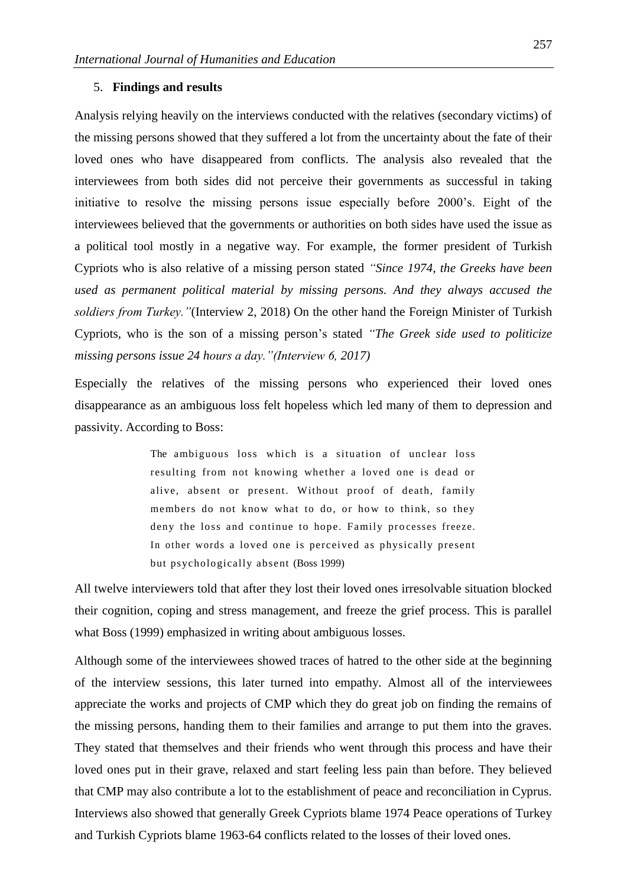### 5. **Findings and results**

Analysis relying heavily on the interviews conducted with the relatives (secondary victims) of the missing persons showed that they suffered a lot from the uncertainty about the fate of their loved ones who have disappeared from conflicts. The analysis also revealed that the interviewees from both sides did not perceive their governments as successful in taking initiative to resolve the missing persons issue especially before 2000's. Eight of the interviewees believed that the governments or authorities on both sides have used the issue as a political tool mostly in a negative way. For example, the former president of Turkish Cypriots who is also relative of a missing person stated *"Since 1974, the Greeks have been used as permanent political material by missing persons. And they always accused the soldiers from Turkey."*(Interview 2, 2018) On the other hand the Foreign Minister of Turkish Cypriots, who is the son of a missing person's stated *"The Greek side used to politicize missing persons issue 24 hours a day."(Interview 6, 2017)*

Especially the relatives of the missing persons who experienced their loved ones disappearance as an ambiguous loss felt hopeless which led many of them to depression and passivity. According to Boss:

> The ambiguous loss which is a situation of unclear loss resulting from not knowing whether a loved one is dead or alive, absent or present. Without proof of death, family members do not know what to do, or how to think, so they deny the loss and continue to hope. Family processes freeze. In other words a loved one is perceived as physically present but psychologically absent (Boss 1999)

All twelve interviewers told that after they lost their loved ones irresolvable situation blocked their cognition, coping and stress management, and freeze the grief process. This is parallel what Boss (1999) emphasized in writing about ambiguous losses.

Although some of the interviewees showed traces of hatred to the other side at the beginning of the interview sessions, this later turned into empathy. Almost all of the interviewees appreciate the works and projects of CMP which they do great job on finding the remains of the missing persons, handing them to their families and arrange to put them into the graves. They stated that themselves and their friends who went through this process and have their loved ones put in their grave, relaxed and start feeling less pain than before. They believed that CMP may also contribute a lot to the establishment of peace and reconciliation in Cyprus. Interviews also showed that generally Greek Cypriots blame 1974 Peace operations of Turkey and Turkish Cypriots blame 1963-64 conflicts related to the losses of their loved ones.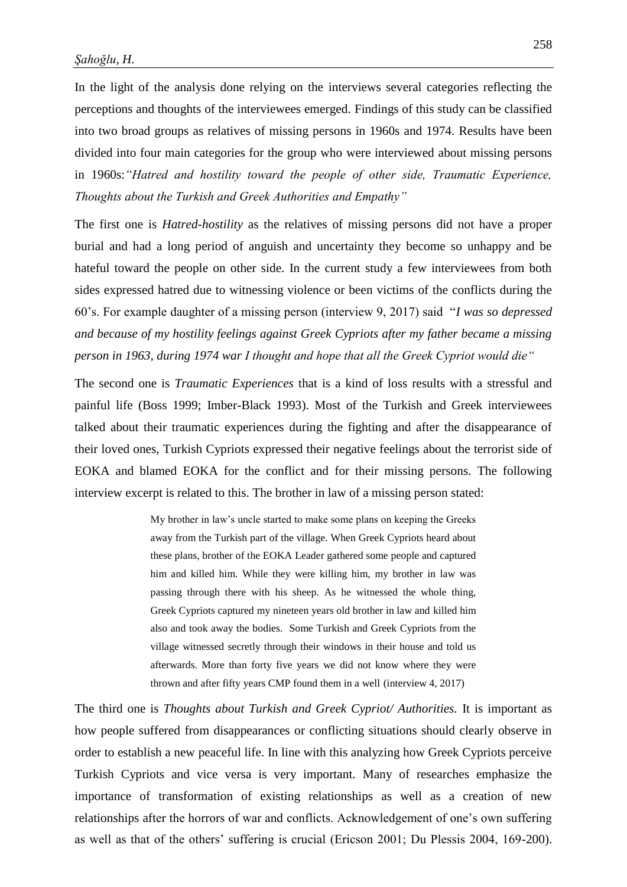In the light of the analysis done relying on the interviews several categories reflecting the perceptions and thoughts of the interviewees emerged. Findings of this study can be classified into two broad groups as relatives of missing persons in 1960s and 1974. Results have been divided into four main categories for the group who were interviewed about missing persons in 1960s:*"Hatred and hostility toward the people of other side, Traumatic Experience, Thoughts about the Turkish and Greek Authorities and Empathy"*

The first one is *Hatred-hostility* as the relatives of missing persons did not have a proper burial and had a long period of anguish and uncertainty they become so unhappy and be hateful toward the people on other side. In the current study a few interviewees from both sides expressed hatred due to witnessing violence or been victims of the conflicts during the 60's. For example daughter of a missing person (interview 9, 2017) said "*I was so depressed and because of my hostility feelings against Greek Cypriots after my father became a missing person in 1963, during 1974 war I thought and hope that all the Greek Cypriot would die"*

The second one is *Traumatic Experiences* that is a kind of loss results with a stressful and painful life (Boss 1999; Imber-Black 1993). Most of the Turkish and Greek interviewees talked about their traumatic experiences during the fighting and after the disappearance of their loved ones, Turkish Cypriots expressed their negative feelings about the terrorist side of EOKA and blamed EOKA for the conflict and for their missing persons. The following interview excerpt is related to this. The brother in law of a missing person stated:

> My brother in law's uncle started to make some plans on keeping the Greeks away from the Turkish part of the village. When Greek Cypriots heard about these plans, brother of the EOKA Leader gathered some people and captured him and killed him. While they were killing him, my brother in law was passing through there with his sheep. As he witnessed the whole thing, Greek Cypriots captured my nineteen years old brother in law and killed him also and took away the bodies. Some Turkish and Greek Cypriots from the village witnessed secretly through their windows in their house and told us afterwards. More than forty five years we did not know where they were thrown and after fifty years CMP found them in a well (interview 4, 2017)

The third one is *Thoughts about Turkish and Greek Cypriot/ Authorities.* It is important as how people suffered from disappearances or conflicting situations should clearly observe in order to establish a new peaceful life. In line with this analyzing how Greek Cypriots perceive Turkish Cypriots and vice versa is very important. Many of researches emphasize the importance of transformation of existing relationships as well as a creation of new relationships after the horrors of war and conflicts. Acknowledgement of one's own suffering as well as that of the others' suffering is crucial (Ericson 2001; Du Plessis 2004, 169-200).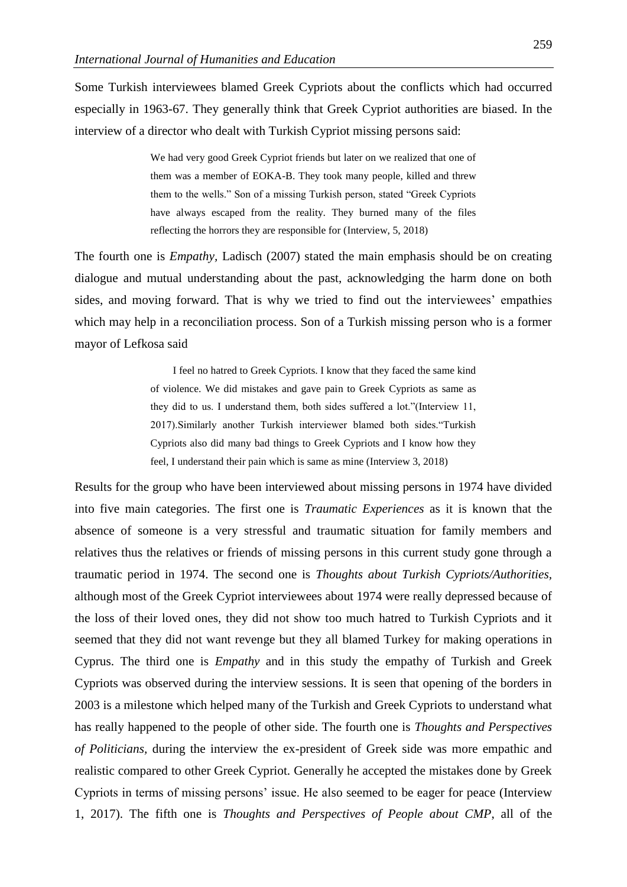Some Turkish interviewees blamed Greek Cypriots about the conflicts which had occurred especially in 1963-67. They generally think that Greek Cypriot authorities are biased*.* In the interview of a director who dealt with Turkish Cypriot missing persons said:

> We had very good Greek Cypriot friends but later on we realized that one of them was a member of EOKA-B. They took many people, killed and threw them to the wells." Son of a missing Turkish person, stated "Greek Cypriots have always escaped from the reality. They burned many of the files reflecting the horrors they are responsible for (Interview, 5, 2018)

The fourth one is *Empathy,* Ladisch (2007) stated the main emphasis should be on creating dialogue and mutual understanding about the past, acknowledging the harm done on both sides, and moving forward. That is why we tried to find out the interviewees' empathies which may help in a reconciliation process. Son of a Turkish missing person who is a former mayor of Lefkosa said

> I feel no hatred to Greek Cypriots. I know that they faced the same kind of violence. We did mistakes and gave pain to Greek Cypriots as same as they did to us. I understand them, both sides suffered a lot."(Interview 11, 2017).Similarly another Turkish interviewer blamed both sides."Turkish Cypriots also did many bad things to Greek Cypriots and I know how they feel, I understand their pain which is same as mine (Interview 3, 2018)

Results for the group who have been interviewed about missing persons in 1974 have divided into five main categories. The first one is *Traumatic Experiences* as it is known that the absence of someone is a very stressful and traumatic situation for family members and relatives thus the relatives or friends of missing persons in this current study gone through a traumatic period in 1974. The second one is *Thoughts about Turkish Cypriots/Authorities,*  although most of the Greek Cypriot interviewees about 1974 were really depressed because of the loss of their loved ones, they did not show too much hatred to Turkish Cypriots and it seemed that they did not want revenge but they all blamed Turkey for making operations in Cyprus. The third one is *Empathy* and in this study the empathy of Turkish and Greek Cypriots was observed during the interview sessions. It is seen that opening of the borders in 2003 is a milestone which helped many of the Turkish and Greek Cypriots to understand what has really happened to the people of other side. The fourth one is *Thoughts and Perspectives of Politicians,* during the interview the ex-president of Greek side was more empathic and realistic compared to other Greek Cypriot. Generally he accepted the mistakes done by Greek Cypriots in terms of missing persons' issue. He also seemed to be eager for peace (Interview 1, 2017). The fifth one is *Thoughts and Perspectives of People about CMP*, all of the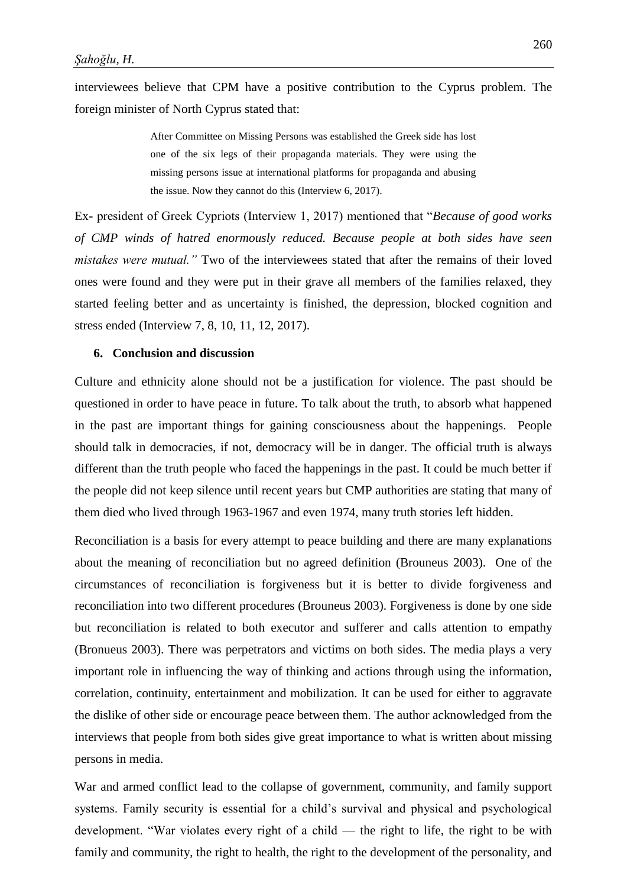interviewees believe that CPM have a positive contribution to the Cyprus problem. The foreign minister of North Cyprus stated that:

> After Committee on Missing Persons was established the Greek side has lost one of the six legs of their propaganda materials. They were using the missing persons issue at international platforms for propaganda and abusing the issue. Now they cannot do this (Interview 6, 2017).

Ex- president of Greek Cypriots (Interview 1, 2017) mentioned that "*Because of good works of CMP winds of hatred enormously reduced. Because people at both sides have seen mistakes were mutual."* Two of the interviewees stated that after the remains of their loved ones were found and they were put in their grave all members of the families relaxed, they started feeling better and as uncertainty is finished, the depression, blocked cognition and stress ended (Interview 7, 8, 10, 11, 12, 2017).

### **6. Conclusion and discussion**

Culture and ethnicity alone should not be a justification for violence. The past should be questioned in order to have peace in future. To talk about the truth, to absorb what happened in the past are important things for gaining consciousness about the happenings. People should talk in democracies, if not, democracy will be in danger. The official truth is always different than the truth people who faced the happenings in the past. It could be much better if the people did not keep silence until recent years but CMP authorities are stating that many of them died who lived through 1963-1967 and even 1974, many truth stories left hidden.

Reconciliation is a basis for every attempt to peace building and there are many explanations about the meaning of reconciliation but no agreed definition (Brouneus 2003). One of the circumstances of reconciliation is forgiveness but it is better to divide forgiveness and reconciliation into two different procedures (Brouneus 2003). Forgiveness is done by one side but reconciliation is related to both executor and sufferer and calls attention to empathy (Bronueus 2003). There was perpetrators and victims on both sides. The media plays a very important role in influencing the way of thinking and actions through using the information, correlation, continuity, entertainment and mobilization. It can be used for either to aggravate the dislike of other side or encourage peace between them. The author acknowledged from the interviews that people from both sides give great importance to what is written about missing persons in media.

War and armed conflict lead to the collapse of government, community, and family support systems. Family security is essential for a child's survival and physical and psychological development. "War violates every right of a child — the right to life, the right to be with family and community, the right to health, the right to the development of the personality, and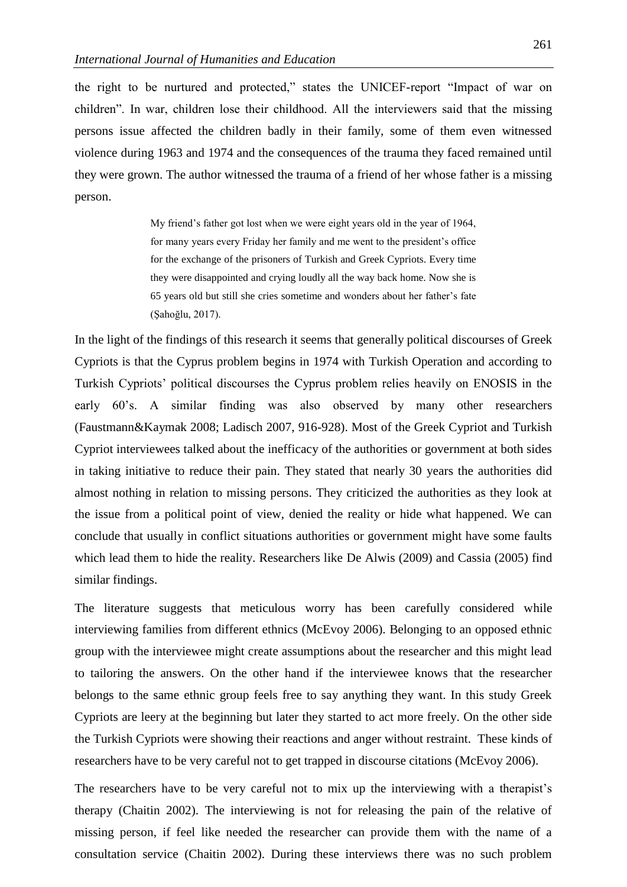the right to be nurtured and protected," states the UNICEF-report "Impact of war on children". In war, children lose their childhood. All the interviewers said that the missing persons issue affected the children badly in their family, some of them even witnessed violence during 1963 and 1974 and the consequences of the trauma they faced remained until they were grown. The author witnessed the trauma of a friend of her whose father is a missing person.

> My friend's father got lost when we were eight years old in the year of 1964, for many years every Friday her family and me went to the president's office for the exchange of the prisoners of Turkish and Greek Cypriots. Every time they were disappointed and crying loudly all the way back home. Now she is 65 years old but still she cries sometime and wonders about her father's fate (Şahoğlu, 2017).

In the light of the findings of this research it seems that generally political discourses of Greek Cypriots is that the Cyprus problem begins in 1974 with Turkish Operation and according to Turkish Cypriots' political discourses the Cyprus problem relies heavily on ENOSIS in the early 60's. A similar finding was also observed by many other researchers (Faustmann&Kaymak 2008; Ladisch 2007, 916-928). Most of the Greek Cypriot and Turkish Cypriot interviewees talked about the inefficacy of the authorities or government at both sides in taking initiative to reduce their pain. They stated that nearly 30 years the authorities did almost nothing in relation to missing persons. They criticized the authorities as they look at the issue from a political point of view, denied the reality or hide what happened. We can conclude that usually in conflict situations authorities or government might have some faults which lead them to hide the reality. Researchers like De Alwis (2009) and Cassia (2005) find similar findings.

The literature suggests that meticulous worry has been carefully considered while interviewing families from different ethnics (McEvoy 2006). Belonging to an opposed ethnic group with the interviewee might create assumptions about the researcher and this might lead to tailoring the answers. On the other hand if the interviewee knows that the researcher belongs to the same ethnic group feels free to say anything they want. In this study Greek Cypriots are leery at the beginning but later they started to act more freely. On the other side the Turkish Cypriots were showing their reactions and anger without restraint. These kinds of researchers have to be very careful not to get trapped in discourse citations (McEvoy 2006).

The researchers have to be very careful not to mix up the interviewing with a therapist's therapy (Chaitin 2002). The interviewing is not for releasing the pain of the relative of missing person, if feel like needed the researcher can provide them with the name of a consultation service (Chaitin 2002). During these interviews there was no such problem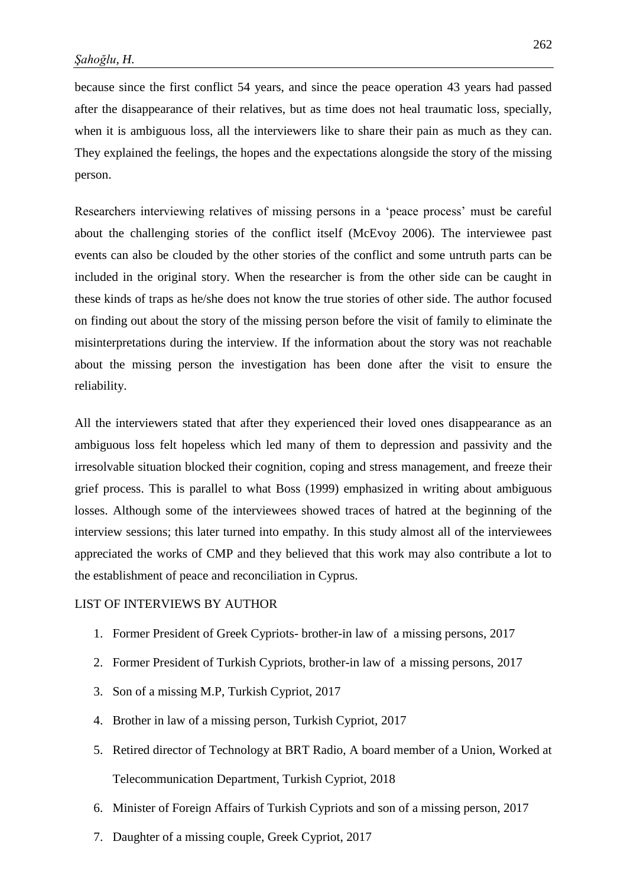because since the first conflict 54 years, and since the peace operation 43 years had passed after the disappearance of their relatives, but as time does not heal traumatic loss, specially, when it is ambiguous loss, all the interviewers like to share their pain as much as they can. They explained the feelings, the hopes and the expectations alongside the story of the missing person.

Researchers interviewing relatives of missing persons in a 'peace process' must be careful about the challenging stories of the conflict itself (McEvoy 2006). The interviewee past events can also be clouded by the other stories of the conflict and some untruth parts can be included in the original story. When the researcher is from the other side can be caught in these kinds of traps as he/she does not know the true stories of other side. The author focused on finding out about the story of the missing person before the visit of family to eliminate the misinterpretations during the interview. If the information about the story was not reachable about the missing person the investigation has been done after the visit to ensure the reliability.

All the interviewers stated that after they experienced their loved ones disappearance as an ambiguous loss felt hopeless which led many of them to depression and passivity and the irresolvable situation blocked their cognition, coping and stress management, and freeze their grief process. This is parallel to what Boss (1999) emphasized in writing about ambiguous losses. Although some of the interviewees showed traces of hatred at the beginning of the interview sessions; this later turned into empathy. In this study almost all of the interviewees appreciated the works of CMP and they believed that this work may also contribute a lot to the establishment of peace and reconciliation in Cyprus.

### LIST OF INTERVIEWS BY AUTHOR

- 1. Former President of Greek Cypriots- brother-in law of a missing persons, 2017
- 2. Former President of Turkish Cypriots, brother-in law of a missing persons, 2017
- 3. Son of a missing M.P, Turkish Cypriot, 2017
- 4. Brother in law of a missing person, Turkish Cypriot, 2017
- 5. Retired director of Technology at BRT Radio, A board member of a Union, Worked at Telecommunication Department, Turkish Cypriot, 2018
- 6. Minister of Foreign Affairs of Turkish Cypriots and son of a missing person, 2017
- 7. Daughter of a missing couple, Greek Cypriot, 2017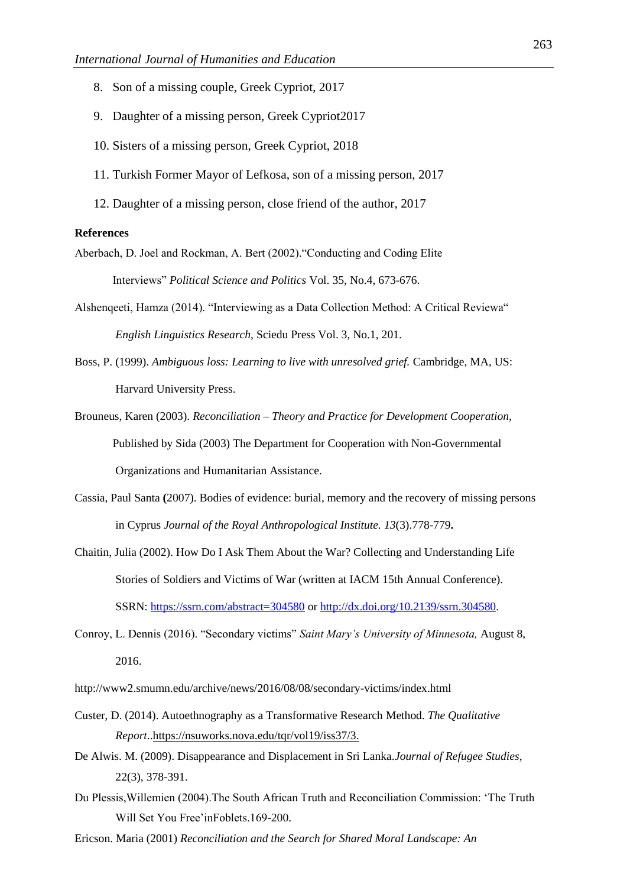- 8. Son of a missing couple, Greek Cypriot, 2017
- 9. Daughter of a missing person, Greek Cypriot2017
- 10. Sisters of a missing person, Greek Cypriot, 2018
- 11. Turkish Former Mayor of Lefkosa, son of a missing person, 2017
- 12. Daughter of a missing person, close friend of the author, 2017

#### **References**

- Aberbach, D. Joel and Rockman, A. Bert (2002)."Conducting and Coding Elite Interviews" *Political Science and Politics* Vol. 35, No.4, 673-676.
- Alshenqeeti, Hamza (2014). "Interviewing as a Data Collection Method: A Critical Reviewa" *English Linguistics Research,* Sciedu Press Vol. 3, No.1, 201.
- Boss, P. (1999). *Ambiguous loss: Learning to live with unresolved grief.* Cambridge, MA, US: Harvard University Press.
- Brouneus, Karen (2003). *Reconciliation – Theory and Practice for Development Cooperation,* Published by Sida (2003) The Department for Cooperation with Non-Governmental Organizations and Humanitarian Assistance.
- Cassia, Paul Santa **(**2007). Bodies of evidence: burial, memory and the recovery of missing persons in Cyprus *Journal of the Royal Anthropological Institute. 13*(3).778-779**.**
- Chaitin, Julia (2002). How Do I Ask Them About the War? Collecting and Understanding Life Stories of Soldiers and Victims of War (written at IACM 15th Annual Conference). SSRN: <https://ssrn.com/abstract=304580> or [http://dx.doi.org/10.2139/ssrn.304580.](https://dx.doi.org/10.2139/ssrn.304580)
- Conroy, L. Dennis (2016). "Secondary victims" *Saint Mary's University of Minnesota,* August 8, 2016.
- http://www2.smumn.edu/archive/news/2016/08/08/secondary-victims/index.html
- Custer, D. (2014). Autoethnography as a Transformative Research Method. *The Qualitative Report*.[.https://nsuworks.nova.edu/tqr/vol19/iss37/3.](https://nsuworks.nova.edu/tqr/vol19/iss37/3)
- De Alwis. M. (2009). Disappearance and Displacement in Sri Lanka.*Journal of Refugee Studies*, 22(3), 378-391.
- Du Plessis,Willemien (2004).The South African Truth and Reconciliation Commission: 'The Truth Will Set You Free'inFoblets.169-200.
- Ericson. Maria (2001) *Reconciliation and the Search for Shared Moral Landscape: An*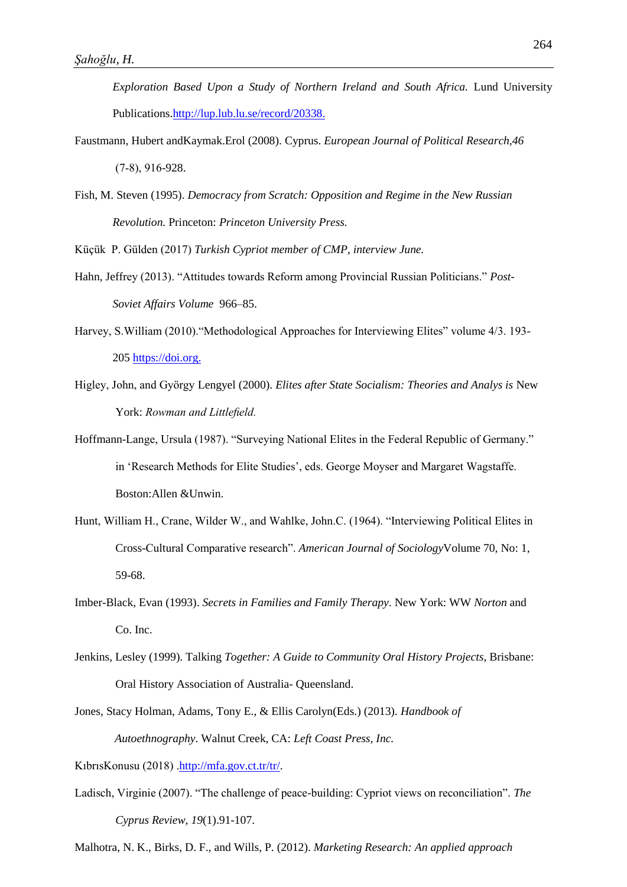*Exploration Based Upon a Study of Northern Ireland and South Africa.* Lund University Publications[.http://lup.lub.lu.se/record/20338.](http://lup.lub.lu.se/record/20338)

- Faustmann, Hubert andKaymak.Erol (2008). Cyprus. *European Journal of Political Research,46* (7‐8), 916-928.
- Fish, M. Steven (1995). *Democracy from Scratch: Opposition and Regime in the New Russian Revolution.* Princeton: *Princeton University Press.*

Küçük P. Gülden (2017) *Turkish Cypriot member of CMP, interview June.*

- Hahn, Jeffrey (2013). "Attitudes towards Reform among Provincial Russian Politicians." *Post-Soviet Affairs Volume* 966–85.
- Harvey, S.William (2010)."Methodological Approaches for Interviewing Elites" volume 4/3. 193- 205 [https://doi.org.](https://doi.org/)
- Higley, John, and György Lengyel (2000). *Elites after State Socialism: Theories and Analys is* New York: *Rowman and Littlefield.*
- Hoffmann-Lange, Ursula (1987). "Surveying National Elites in the Federal Republic of Germany." in 'Research Methods for Elite Studies', eds. George Moyser and Margaret Wagstaffe. Boston:Allen &Unwin.
- Hunt, William H., Crane, Wilder W., and Wahlke, John.C. (1964). "Interviewing Political Elites in Cross-Cultural Comparative research". *American Journal of Sociology*Volume 70, No: 1, 59-68.
- Imber-Black, Evan (1993). *Secrets in Families and Family Therapy*. New York: WW *Norton* and Co. Inc.
- Jenkins, Lesley (1999). Talking *Together: A Guide to Community Oral History Projects*, Brisbane: Oral History Association of Australia- Queensland.
- Jones, Stacy Holman, Adams, Tony E., & Ellis Carolyn(Eds.) (2013). *Handbook of Autoethnography*. Walnut Creek, CA: *Left Coast Press, Inc.*

KıbrısKonusu (2018) [.http://mfa.gov.ct.tr/tr/.](http://mfa.gov.ct.tr/tr/)

Ladisch, Virginie (2007). "The challenge of peace-building: Cypriot views on reconciliation". *The Cyprus Review*, *19*(1).91-107.

Malhotra, N. K., Birks, D. F., and Wills, P. (2012). *Marketing Research: An applied approach*